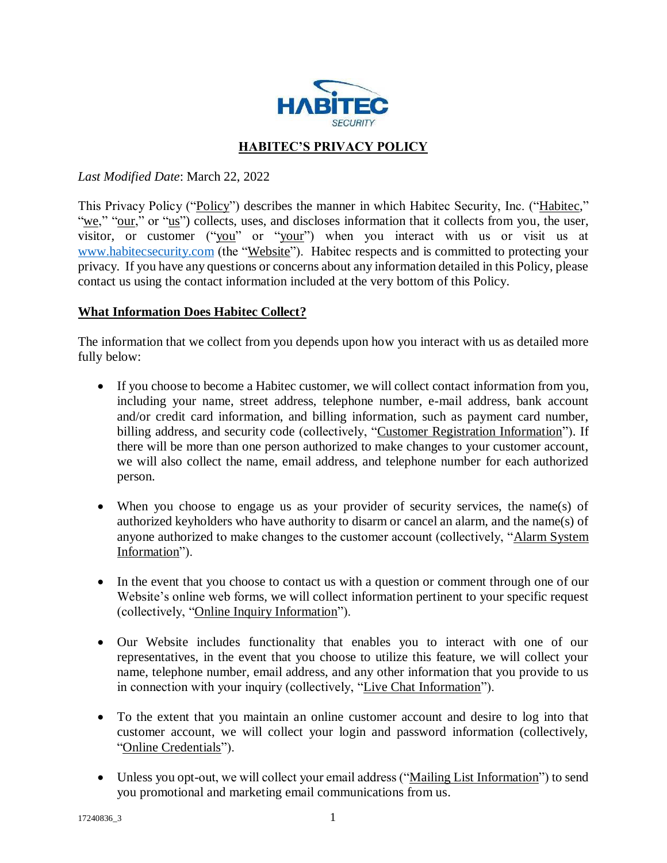

# **HABITEC'S PRIVACY POLICY**

*Last Modified Date*: March 22, 2022

This Privacy Policy ("Policy") describes the manner in which Habitec Security, Inc. ("Habitec," "we," "our," or "us") collects, uses, and discloses information that it collects from you, the user, visitor, or customer ("you" or "your") when you interact with us or visit us at [www.habitecsecurity.com](http://www.habitecsecurity.com/) (the "Website"). Habitec respects and is committed to protecting your privacy. If you have any questions or concerns about any information detailed in this Policy, please contact us using the contact information included at the very bottom of this Policy.

## **What Information Does Habitec Collect?**

The information that we collect from you depends upon how you interact with us as detailed more fully below:

- If you choose to become a Habitec customer, we will collect contact information from you, including your name, street address, telephone number, e-mail address, bank account and/or credit card information, and billing information, such as payment card number, billing address, and security code (collectively, "Customer Registration Information"). If there will be more than one person authorized to make changes to your customer account, we will also collect the name, email address, and telephone number for each authorized person.
- When you choose to engage us as your provider of security services, the name(s) of authorized keyholders who have authority to disarm or cancel an alarm, and the name(s) of anyone authorized to make changes to the customer account (collectively, "Alarm System Information").
- In the event that you choose to contact us with a question or comment through one of our Website's online web forms, we will collect information pertinent to your specific request (collectively, "Online Inquiry Information").
- Our Website includes functionality that enables you to interact with one of our representatives, in the event that you choose to utilize this feature, we will collect your name, telephone number, email address, and any other information that you provide to us in connection with your inquiry (collectively, "Live Chat Information").
- To the extent that you maintain an online customer account and desire to log into that customer account, we will collect your login and password information (collectively, "Online Credentials").
- Unless you opt-out, we will collect your email address ("Mailing List Information") to send you promotional and marketing email communications from us.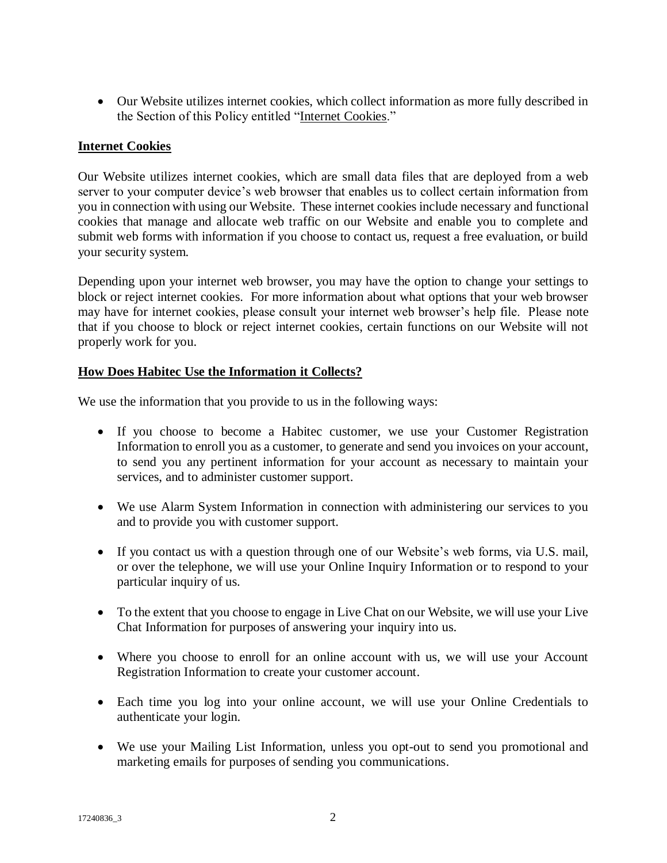Our Website utilizes internet cookies, which collect information as more fully described in the Section of this Policy entitled "Internet Cookies."

# **Internet Cookies**

Our Website utilizes internet cookies, which are small data files that are deployed from a web server to your computer device's web browser that enables us to collect certain information from you in connection with using our Website. These internet cookies include necessary and functional cookies that manage and allocate web traffic on our Website and enable you to complete and submit web forms with information if you choose to contact us, request a free evaluation, or build your security system.

Depending upon your internet web browser, you may have the option to change your settings to block or reject internet cookies. For more information about what options that your web browser may have for internet cookies, please consult your internet web browser's help file. Please note that if you choose to block or reject internet cookies, certain functions on our Website will not properly work for you.

## **How Does Habitec Use the Information it Collects?**

We use the information that you provide to us in the following ways:

- If you choose to become a Habitec customer, we use your Customer Registration Information to enroll you as a customer, to generate and send you invoices on your account, to send you any pertinent information for your account as necessary to maintain your services, and to administer customer support.
- We use Alarm System Information in connection with administering our services to you and to provide you with customer support.
- If you contact us with a question through one of our Website's web forms, via U.S. mail, or over the telephone, we will use your Online Inquiry Information or to respond to your particular inquiry of us.
- To the extent that you choose to engage in Live Chat on our Website, we will use your Live Chat Information for purposes of answering your inquiry into us.
- Where you choose to enroll for an online account with us, we will use your Account Registration Information to create your customer account.
- Each time you log into your online account, we will use your Online Credentials to authenticate your login.
- We use your Mailing List Information, unless you opt-out to send you promotional and marketing emails for purposes of sending you communications.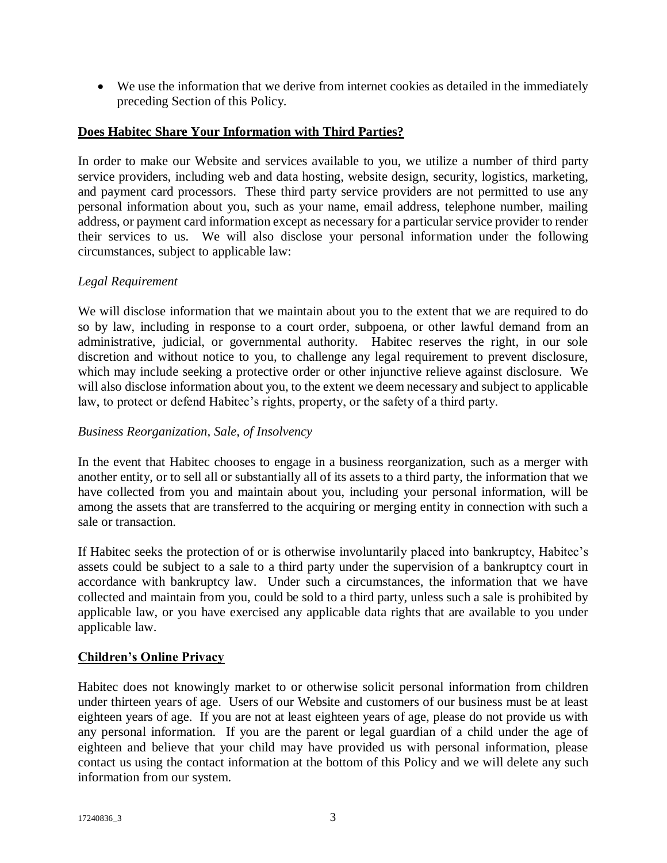We use the information that we derive from internet cookies as detailed in the immediately preceding Section of this Policy.

## **Does Habitec Share Your Information with Third Parties?**

In order to make our Website and services available to you, we utilize a number of third party service providers, including web and data hosting, website design, security, logistics, marketing, and payment card processors. These third party service providers are not permitted to use any personal information about you, such as your name, email address, telephone number, mailing address, or payment card information except as necessary for a particular service provider to render their services to us. We will also disclose your personal information under the following circumstances, subject to applicable law:

## *Legal Requirement*

We will disclose information that we maintain about you to the extent that we are required to do so by law, including in response to a court order, subpoena, or other lawful demand from an administrative, judicial, or governmental authority. Habitec reserves the right, in our sole discretion and without notice to you, to challenge any legal requirement to prevent disclosure, which may include seeking a protective order or other injunctive relieve against disclosure. We will also disclose information about you, to the extent we deem necessary and subject to applicable law, to protect or defend Habitec's rights, property, or the safety of a third party.

## *Business Reorganization, Sale, of Insolvency*

In the event that Habitec chooses to engage in a business reorganization, such as a merger with another entity, or to sell all or substantially all of its assets to a third party, the information that we have collected from you and maintain about you, including your personal information, will be among the assets that are transferred to the acquiring or merging entity in connection with such a sale or transaction.

If Habitec seeks the protection of or is otherwise involuntarily placed into bankruptcy, Habitec's assets could be subject to a sale to a third party under the supervision of a bankruptcy court in accordance with bankruptcy law. Under such a circumstances, the information that we have collected and maintain from you, could be sold to a third party, unless such a sale is prohibited by applicable law, or you have exercised any applicable data rights that are available to you under applicable law.

# **Children's Online Privacy**

Habitec does not knowingly market to or otherwise solicit personal information from children under thirteen years of age. Users of our Website and customers of our business must be at least eighteen years of age. If you are not at least eighteen years of age, please do not provide us with any personal information. If you are the parent or legal guardian of a child under the age of eighteen and believe that your child may have provided us with personal information, please contact us using the contact information at the bottom of this Policy and we will delete any such information from our system.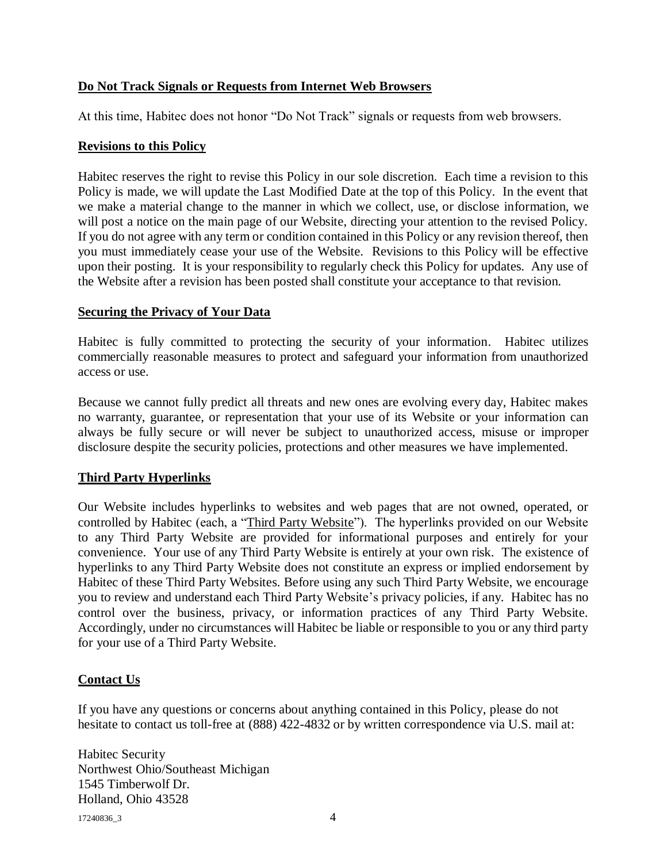# **Do Not Track Signals or Requests from Internet Web Browsers**

At this time, Habitec does not honor "Do Not Track" signals or requests from web browsers.

#### **Revisions to this Policy**

Habitec reserves the right to revise this Policy in our sole discretion. Each time a revision to this Policy is made, we will update the Last Modified Date at the top of this Policy. In the event that we make a material change to the manner in which we collect, use, or disclose information, we will post a notice on the main page of our Website, directing your attention to the revised Policy. If you do not agree with any term or condition contained in this Policy or any revision thereof, then you must immediately cease your use of the Website. Revisions to this Policy will be effective upon their posting. It is your responsibility to regularly check this Policy for updates. Any use of the Website after a revision has been posted shall constitute your acceptance to that revision.

#### **Securing the Privacy of Your Data**

Habitec is fully committed to protecting the security of your information. Habitec utilizes commercially reasonable measures to protect and safeguard your information from unauthorized access or use.

Because we cannot fully predict all threats and new ones are evolving every day, Habitec makes no warranty, guarantee, or representation that your use of its Website or your information can always be fully secure or will never be subject to unauthorized access, misuse or improper disclosure despite the security policies, protections and other measures we have implemented.

## **Third Party Hyperlinks**

Our Website includes hyperlinks to websites and web pages that are not owned, operated, or controlled by Habitec (each, a "Third Party Website"). The hyperlinks provided on our Website to any Third Party Website are provided for informational purposes and entirely for your convenience. Your use of any Third Party Website is entirely at your own risk. The existence of hyperlinks to any Third Party Website does not constitute an express or implied endorsement by Habitec of these Third Party Websites. Before using any such Third Party Website, we encourage you to review and understand each Third Party Website's privacy policies, if any. Habitec has no control over the business, privacy, or information practices of any Third Party Website. Accordingly, under no circumstances will Habitec be liable or responsible to you or any third party for your use of a Third Party Website.

## **Contact Us**

If you have any questions or concerns about anything contained in this Policy, please do not hesitate to contact us toll-free at (888) 422-4832 or by written correspondence via U.S. mail at:

Habitec Security Northwest Ohio/Southeast Michigan 1545 Timberwolf Dr. Holland, Ohio 43528